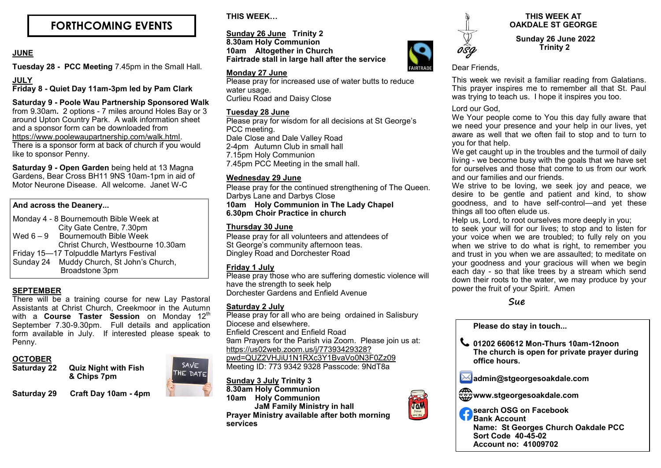# **FORTHCOMING EVENTS**

# **JUNE**

**Tuesday 28 - PCC Meeting** 7.45pm in the Small Hall.

# **JULY**

**Friday 8 - Quiet Day 11am-3pm led by Pam Clark**

# **Saturday 9 - Poole Wau Partnership Sponsored Walk**

from 9.30am*.* 2 options - 7 miles around Holes Bay or 3 around Upton Country Park. A walk information sheet and a sponsor form can be downloaded from [https://www.poolewaupartnership.com/walk.html.](https://www.poolewaupartnership.com/walk.html) There is a sponsor form at back of church if you would like to sponsor Penny.

**Saturday 9 - Open Garden** being held at 13 Magna Gardens, Bear Cross BH11 9NS 10am-1pm in aid of Motor Neurone Disease. All welcome. Janet W-C

# **And across the Deanery...**

Monday 4 - 8 Bournemouth Bible Week at City Gate Centre, 7.30pm Wed  $6 - 9$  Bournemouth Bible Week Christ Church, Westbourne 10.30am Friday 15—17 Tolpuddle Martyrs Festival Sunday 24 Muddy Church, St John's Church, Broadstone 3pm

# **SEPTEMBER**

There will be a training course for new Lay Pastoral Assistants at Christ Church, Creekmoor in the Autumn with a **Course Taster Session** on Monday 12<sup>th</sup> September 7.30-9.30pm. Full details and application form available in July. If interested please speak to Penny.

## **OCTOBER**

**Saturday 22 Quiz Night with Fish & Chips 7pm** 

**Saturday 29 Craft Day 10am - 4pm**



**THIS WEEK…**

**Sunday 26 June Trinity 2 8.30am Holy Communion 10am Altogether in Church Fairtrade stall in large hall after the service**

### **Monday 27 June**

Please pray for increased use of water butts to reduce water usage. Curlieu Road and Daisy Close

### **Tuesday 28 June**

Please pray for wisdom for all decisions at St George's PCC meeting. Dale Close and Dale Valley Road 2-4pm Autumn Club in small hall 7.15pm Holy Communion 7.45pm PCC Meeting in the small hall.

## **Wednesday 29 June**

Please pray for the continued strengthening of The Queen. Darbys Lane and Darbys Close

**10am Holy Communion in The Lady Chapel 6.30pm Choir Practice in church**

# **Thursday 30 June**

Please pray for all volunteers and attendees of St George's community afternoon teas. Dingley Road and Dorchester Road

## **Friday 1 July**

Please pray those who are suffering domestic violence will have the strength to seek help Dorchester Gardens and Enfield Avenue

# **Saturday 2 July**

Please pray for all who are being ordained in Salisbury Diocese and elsewhere. Enfield Crescent and Enfield Road 9am Prayers for the Parish via Zoom. Please join us at: [https://us02web.zoom.us/j/77393429328?](https://us02web.zoom.us/j/77393429328?pwd=QUZ2VHJiU1N1RXc3Y1BvaVo0N3F0Zz09) [pwd=QUZ2VHJiU1N1RXc3Y1BvaVo0N3F0Zz09](https://us02web.zoom.us/j/77393429328?pwd=QUZ2VHJiU1N1RXc3Y1BvaVo0N3F0Zz09) Meeting ID: 773 9342 9328 Passcode: 9NdT8a

**Sunday 3 July Trinity 3 8.30am Holy Communion 10am Holy Communion JaM Family Ministry in hall Prayer Ministry available after both morning services**



# **THIS WEEK AT OAKDALE ST GEORGE**

 **Sunday 26 June 2022 Trinity 2**

Dear Friends,

This week we revisit a familiar reading from Galatians. This prayer inspires me to remember all that St. Paul was trying to teach us. I hope it inspires you too.

## Lord our God,

We Your people come to You this day fully aware that we need your presence and your help in our lives, yet aware as well that we often fail to stop and to turn to you for that help.

We get caught up in the troubles and the turmoil of daily living - we become busy with the goals that we have set for ourselves and those that come to us from our work and our families and our friends.

We strive to be loving, we seek joy and peace, we desire to be gentle and patient and kind, to show goodness, and to have self-control—and yet these things all too often elude us.

Help us, Lord, to root ourselves more deeply in you;

to seek your will for our lives; to stop and to listen for your voice when we are troubled; to fully rely on you when we strive to do what is right, to remember you and trust in you when we are assaulted; to meditate on your goodness and your gracious will when we begin each day - so that like trees by a stream which send down their roots to the water, we may produce by your power the fruit of your Spirit. Amen

# **Sue**

**Please do stay in touch... 01202 660612 Mon-Thurs 10am-12noon The church is open for private prayer during office hours.** 

**admin@stgeorgesoakdale.com**

**www.stgeorgesoakdale.com**

JaM

**search OSG on Facebook Bank Account Name: St Georges Church Oakdale PCC Sort Code 40-45-02 Account no: 41009702**